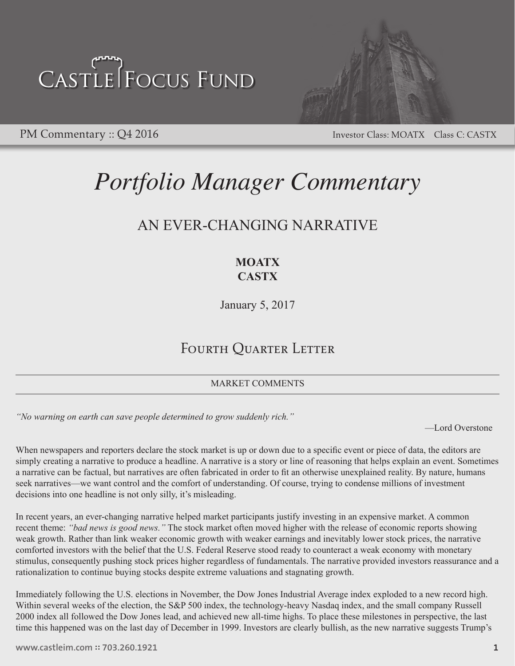

PM Commentary :: Q4 2016 Investor Class: MOATX Class C: CASTX

### *Portfolio Manager Commentary*

### AN EVER-CHANGING NARRATIVE

### **MOATX CASTX**

January 5, 2017

### FOURTH QUARTER LETTER

MARKET COMMENTS

*"No warning on earth can save people determined to grow suddenly rich."* 

—Lord Overstone

When newspapers and reporters declare the stock market is up or down due to a specific event or piece of data, the editors are simply creating a narrative to produce a headline. A narrative is a story or line of reasoning that helps explain an event. Sometimes a narrative can be factual, but narratives are often fabricated in order to fit an otherwise unexplained reality. By nature, humans seek narratives—we want control and the comfort of understanding. Of course, trying to condense millions of investment decisions into one headline is not only silly, it's misleading.

In recent years, an ever-changing narrative helped market participants justify investing in an expensive market. A common recent theme: *"bad news is good news."* The stock market often moved higher with the release of economic reports showing weak growth. Rather than link weaker economic growth with weaker earnings and inevitably lower stock prices, the narrative comforted investors with the belief that the U.S. Federal Reserve stood ready to counteract a weak economy with monetary stimulus, consequently pushing stock prices higher regardless of fundamentals. The narrative provided investors reassurance and a rationalization to continue buying stocks despite extreme valuations and stagnating growth.

Immediately following the U.S. elections in November, the Dow Jones Industrial Average index exploded to a new record high. Within several weeks of the election, the S&P 500 index, the technology-heavy Nasdaq index, and the small company Russell 2000 index all followed the Dow Jones lead, and achieved new all-time highs. To place these milestones in perspective, the last time this happened was on the last day of December in 1999. Investors are clearly bullish, as the new narrative suggests Trump's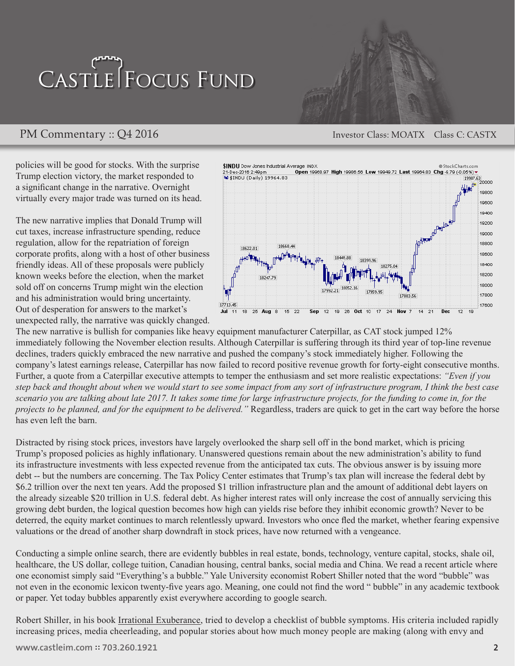### FOCUS FUND market. A common recent theme: "*bad news is good news*." The stock market often moved higher with the release of economic reports showing weak growth. Rather than link weaker economic growth with weaker  $\mathbf{E} \mathbf{E} = \mathbf{E} \mathbf{E} \mathbf{E}$  is the narrative component that the U.S. with the U.S. with the U.S. with the U.S. with the U.S. with the U.S. with the U.S. with the U.S. with the U.S. with the U.S. with the U.S. with t Federal Reserve stood ready to counteract a weak economy with monetary stimulus, consequently pushing stock prices higher regardless of fundamentals. The narrative provided investors reassurance and a

PM Commentary :: Q4 2016 Investor Class: MOATX Class C: CASTX Investor Class: MOATX  $\frac{1}{2}$  a new record higher several weeks of the election, the election, the S&P  $\frac{1}{2}$ 

policies will be good for stocks. With the surprise Trump election victory, the market responded to a significant change in the narrative. Overnight virtually every major trade was turned on its head.

The new narrative implies that Donald Trump will cut taxes, increase infrastructure spending, reduce regulation, allow for the repatriation of foreign corporate profits, along with a host of other business friendly ideas. All of these proposals were publicly known weeks before the election, when the market sold off on concerns Trump might win the election and his administration would bring uncertainty. Out of desperation for answers to the market's unexpected rally, the narrative was quickly changed.



The new narrative is bullish for companies like heavy equipment manufacturer Caterpillar, as CAT stock jumped 12% immediately following the November election results. Although Caterpillar is suffering through its third year of top-line revenue declines, traders quickly embraced the new narrative and pushed the company's stock immediately higher. Following the company's latest earnings release, Caterpillar has now failed to record positive revenue growth for forty-eight consecutive months. Further, a quote from a Caterpillar executive attempts to temper the enthusiasm and set more realistic expectations: "Even if you step back and thought about when we would start to see some impact from any sort of infrastructure program, I think the best case *scenario you are talking about late 2017. It takes some time for large infrastructure projects, for the funding to come in, for the projects to be planned, and for the equipment to be delivered."* Regardless, traders are quick to get in the cart way before the horse has even left the barn.

In recent years, an ever-changing narrative helped market participants justify investing in an expensive

Distracted by rising stock prices, investors have largely overlooked the sharp sell off in the bond market, which is pricing Trump's proposed policies as highly inflationary. Unanswered questions remain about the new administration's ability to fund its infrastructure investments with less expected revenue from the anticipated tax cuts. The obvious answer is by issuing more debt -- but the numbers are concerning. The Tax Policy Center estimates that Trump's tax plan will increase the federal debt by \$6.2 trillion over the next ten years. Add the proposed \$1 trillion infrastructure plan and the amount of additional debt layers on the already sizeable \$20 trillion in U.S. federal debt. As higher interest rates will only increase the cost of annually servicing this growing debt burden, the logical question becomes how high can yields rise before they inhibit economic growth? Never to be deterred, the equity market continues to march relentlessly upward. Investors who once fled the market, whether fearing expensive valuations or the dread of another sharp downdraft in stock prices, have now returned with a vengeance.

Conducting a simple online search, there are evidently bubbles in real estate, bonds, technology, venture capital, stocks, shale oil, healthcare, the US dollar, college tuition, Canadian housing, central banks, social media and China. We read a recent article where one economist simply said "Everything's a bubble." Yale University economist Robert Shiller noted that the word "bubble" was not even in the economic lexicon twenty-five years ago. Meaning, one could not find the word " bubble" in any academic textbook or paper. Yet today bubbles apparently exist everywhere according to google search.

Robert Shiller, in his book Irrational Exuberance, tried to develop a checklist of bubble symptoms. His criteria included rapidly increasing prices, media cheerleading, and popular stories about how much money people are making (along with envy and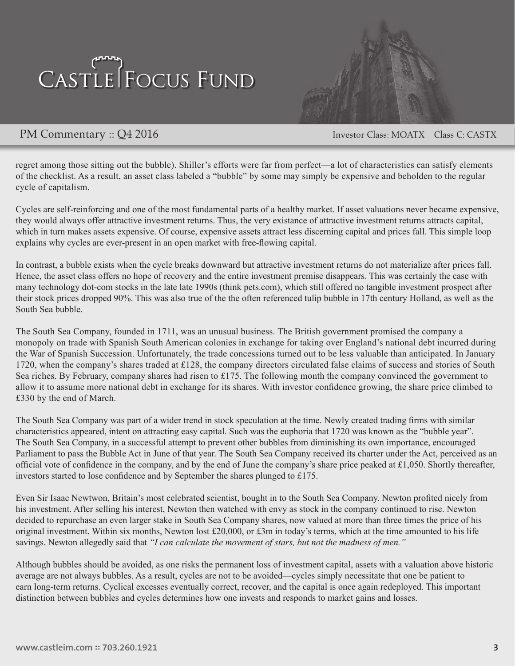

PM Commentary :: Q4 2016 Investor Class: MOATX Class C: CASTX

regret among those sitting out the bubble). Shiller's efforts were far from perfect—a lot of characteristics can satisfy elements of the checklist. As a result, an asset class labeled a "bubble" by some may simply be expensive and beholden to the regular cycle of capitalism.

Cycles are self-reinforcing and one of the most fundamental parts of a healthy market. If asset valuations never became expensive, they would always offer attractive investment returns. Thus, the very existance of attractive investment returns attracts capital, which in turn makes assets expensive. Of course, expensive assets attract less discerning capital and prices fall. This simple loop explains why cycles are ever-present in an open market with free-flowing capital.

In contrast, a bubble exists when the cycle breaks downward but attractive investment returns do not materialize after prices fall. Hence, the asset class offers no hope of recovery and the entire investment premise disappears. This was certainly the case with many technology dot-com stocks in the late late 1990s (think pets.com), which still offered no tangible investment prospect after their stock prices dropped 90%. This was also true of the the often referenced tulip bubble in 17th century Holland, as well as the South Sea bubble.

The South Sea Company, founded in 1711, was an unusual business. The British government promised the company a monopoly on trade with Spanish South American colonies in exchange for taking over England's national debt incurred during the War of Spanish Succession. Unfortunately, the trade concessions turned out to be less valuable than anticipated. In January 1720, when the company's shares traded at £128, the company directors circulated false claims of success and stories of South Sea riches. By February, company shares had risen to £175. The following month the company convinced the government to allow it to assume more national debt in exchange for its shares. With investor confidence growing, the share price climbed to £330 by the end of March.

The South Sea Company was part of a wider trend in stock speculation at the time. Newly created trading firms with similar characteristics appeared, intent on attracting easy capital. Such was the euphoria that 1720 was known as the "bubble year". The South Sea Company, in a successful attempt to prevent other bubbles from diminishing its own importance, encouraged Parliament to pass the Bubble Act in June of that year. The South Sea Company received its charter under the Act, perceived as an official vote of confidence in the company, and by the end of June the company's share price peaked at £1,050. Shortly thereafter, investors started to lose confidence and by September the shares plunged to £175.

Even Sir Isaac Newtwon, Britain's most celebrated scientist, bought in to the South Sea Company. Newton profited nicely from his investment. After selling his interest, Newton then watched with envy as stock in the company continued to rise. Newton decided to repurchase an even larger stake in South Sea Company shares, now valued at more than three times the price of his original investment. Within six months, Newton lost £20,000, or £3m in today's terms, which at the time amounted to his life savings. Newton allegedly said that *"I can calculate the movement of stars, but not the madness of men."*

Although bubbles should be avoided, as one risks the permanent loss of investment capital, assets with a valuation above historic average are not always bubbles. As a result, cycles are not to be avoided—cycles simply necessitate that one be patient to earn long-term returns. Cyclical excesses eventually correct, recover, and the capital is once again redeployed. This important distinction between bubbles and cycles determines how one invests and responds to market gains and losses.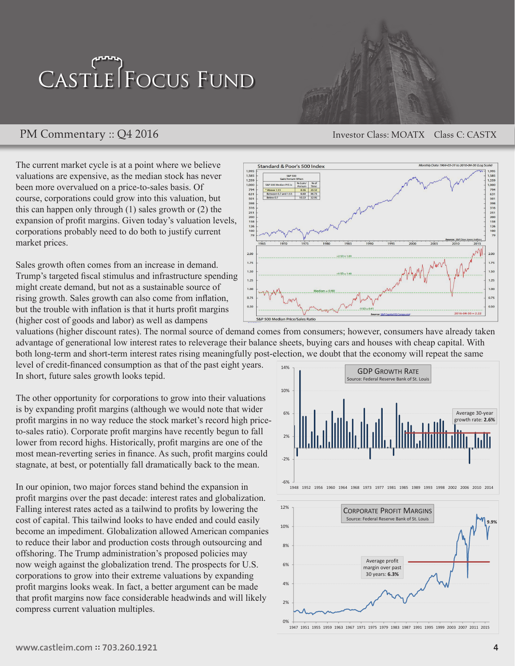### PM Commentary :: Q4 2016 Investor Class: MOATX Class C: CASTX

The current market cycle is at a point where we believe valuations are expensive, as the median stock has never been more overvalued on a price-to-sales basis. Of course, corporations could grow into this valuation, but this can happen only through (1) sales growth or (2) the expansion of profit margins. Given today's valuation levels, corporations probably need to do both to justify current market prices.

Sales growth often comes from an increase in demand. Trump's targeted fiscal stimulus and infrastructure spending might create demand, but not as a sustainable source of rising growth. Sales growth can also come from inflation, but the trouble with inflation is that it hurts profit margins  $\begin{bmatrix} 0.50 \\ 0.50 \end{bmatrix}$ (higher cost of goods and labor) as well as dampens

valuations (higher discount rates). The normal source of demand comes from consumers; however, consumers have already taken vandations (inglier diseount rates). The hormal source of demand comes from consumers, nowever, consumers nave aready taken<br>advantage of generational low interest rates to releverage their balance sheets, buying cars and h both long-term and short-term interest rates rising meaningfully post-election, we doubt that the economy will repeat the same

1,995<br>1,585<br>1,259<br>1,000<br>794<br>51 101<br>398<br>316<br>251<br>200<br>158<br>26

 $2.00$ 

 $1.75$ 

 $1.50$ 

 $1.25$ 

 $1.00$ 

 $0.75$ 

lian D

Standard & Poor's 500 Index

level of credit-financed consumption as that of the past eight years. In short, future sales growth looks tepid. increase in demand. Trump's  $\frac{1}{1}$  $\mathbf{p}$ in, but the trouble with the trouble with  $\mathbf{p}$ 

The other opportunity for corporations to grow into their valuations is by expanding profit margins (although we would note that wider profit margins in no way reduce the stock market's record high priceto-sales ratio). Corporate profit margins have recently begun to fall lower from record highs. Historically, profit margins are one of the most mean-reverting series in finance. As such, profit margins could  $\int_{\infty}$ stagnate, at best, or potentially fall dramatically back to the mean.  $\alpha$  grow through  $\alpha$  and  $\alpha$ (higher discount rates). The normal ms to grow into their valuations

In our opinion, two major forces stand behind the expansion in  $\frac{686}{1948}$   $\frac{1}{1948}$   $\frac{1}{1952}$   $\frac{1}{1956}$   $\frac{1}{1964}$   $\frac{1}{1968}$   $\frac{1}{1964}$   $\frac{1}{1968}$ m our opinion, two major rorees stand central the expansion in<br>profit margins over the past decade: interest rates and globalization. Falling interest rates acted as a tailwind to profits by lowering the  $\frac{12\%}{\sqrt{2}}$  Corporate Profit Margins cost of capital. This tailwind looks to have ended and could easily  $\mathbb{R}^n$  and  $\mathbb{R}^n$  and  $\mathbb{R}^n$  and  $\mathbb{R}^n$  and  $\mathbb{R}^n$  and  $\mathbb{R}^n$  and  $\mathbb{R}^n$  and  $\mathbb{R}^n$  and  $\mathbb{R}^n$  and  $\mathbb{R}^n$  and  $\math$ become an impediment. Globalization allowed American companies **Formulation** to reduce their labor and production costs through outsourcing and offshoring. The Trump administration's proposed policies may now weigh against the globalization trend. The prospects for U.S. now weight against the globalization trend: The prospects for 0.5.<br>corporations to grow into their extreme valuations by expanding profit margins looks weak. In fact, a better argument can be made that profit margins now face considerable headwinds and will likely compress current valuation multiples. better argument can be made high price-to-sales ratio). Corporate  $\mu$  valuations by expanding. finance. As such, profit margins

> Historically, profit margins are one of the most mean-reverting series in



Monthly Data 1964-03-31 to 2016-04-30 (Lo

1,259<br>1,000<br>794<br>631<br>501<br>398<br>316<br>251<br>200<br>158<br>126<br>100<br>79

 $2.00$ 

 $1.75$ 

 $1.5<sub>C</sub>$ 

 $1.25$ 

 $1.00$ 

 $0.75$ 



GDP GROWTH RATE CONTRACTOR COMPANY COMPANY



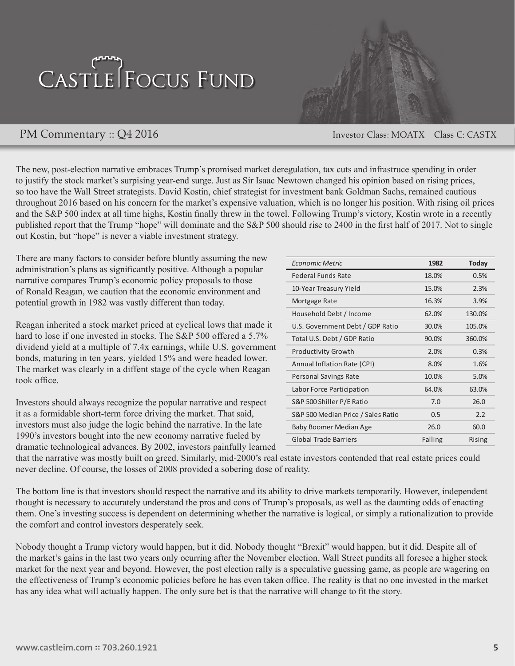

PM Commentary :: Q4 2016 Investor Class: MOATX Class C: CASTX

The new, post-election narrative embraces Trump's promised market deregulation, tax cuts and infrastruce spending in order to justify the stock market's surpising year-end surge. Just as Sir Isaac Newtown changed his opinion based on rising prices, so too have the Wall Street strategists. David Kostin, chief strategist for investment bank Goldman Sachs, remained cautious throughout 2016 based on his concern for the market's expensive valuation, which is no longer his position. With rising oil prices and the S&P 500 index at all time highs, Kostin finally threw in the towel. Following Trump's victory, Kostin wrote in a recently published report that the Trump "hope" will dominate and the S&P 500 should rise to 2400 in the first half of 2017. Not to single out Kostin, but "hope" is never a viable investment strategy.

There are many factors to consider before bluntly assuming the new There are many factors to consider before administration's plans as significantly positive. Although a popular narrative compares Trump's economic policy proposals to those of Ronald Reagan, we caution that the economic environment and potential growth in 1982 was vastly different than today.

Reagan inherited a stock market priced at cyclical lows that made it hard to lose if one invested in stocks. The  $S\&P\;500$  offered a 5.7% dividend yield at a multiple of 7.4x earnings, while U.S. government bonds, maturing in ten years, yielded 15% and were headed lower. The market was clearly in a diffent stage of the cycle when Reagan took office.

Investors should always recognize the popular narrative and respect it as a formidable short-term force driving the market. That said, investors must also judge the logic behind the narrative. In the late 1990's investors bought into the new economy narrative fueled by dramatic technological advances. By 2002, investors painfully learned recognize the popular narrative and respect

| Economic Metric                    | 1982    | <b>Today</b> |
|------------------------------------|---------|--------------|
| <b>Federal Funds Rate</b>          | 18.0%   | 0.5%         |
| 10-Year Treasury Yield             | 15.0%   | 2.3%         |
| Mortgage Rate                      | 16.3%   | 3.9%         |
| Household Debt / Income            | 62.0%   | 130.0%       |
| U.S. Government Debt / GDP Ratio   | 30.0%   | 105.0%       |
| Total U.S. Debt / GDP Ratio        | 90.0%   | 360.0%       |
| <b>Productivity Growth</b>         | 2.0%    | 0.3%         |
| Annual Inflation Rate (CPI)        | 8.0%    | 1.6%         |
| Personal Savings Rate              | 10.0%   | 5.0%         |
| Labor Force Participation          | 64.0%   | 63.0%        |
| S&P 500 Shiller P/E Ratio          | 7.0     | 26.0         |
| S&P 500 Median Price / Sales Ratio | 0.5     | 2.2          |
| Baby Boomer Median Age             | 26.0    | 60.0         |
| <b>Global Trade Barriers</b>       | Falling | Rising       |

that the narrative was mostly built on greed. Similarly, mid-2000's real estate investors contended that real estate prices could never decline. Of course, the losses of 2008 provided a sobering dose of reality.

The bottom line is that investors should respect the narrative and its ability to drive markets temporarily. However, independent thought is necessary to accurately understand the pros and cons of Trump's proposals, as well as the daunting odds of enacting them. One's investing success is dependent on determining whether the narrative is logical, or simply a rationalization to provide the comfort and control investors desperately seek. ivestors should respect the narrative and its ability to drive markets temporarity, However, independent

Nobody thought a Trump victory would happen, but it did. Nobody thought "Brexit" would happen, but it did. Despite all of the market's gains in the last two years only ocurring after the November election, Wall Street pundits all foresee a higher stock market for the next year and beyond. However, the post election rally is a speculative guessing game, as people are wagering on the effectiveness of Trump's economic policies before he has even taken office. The reality is that no one invested in the market has any idea what will actually happen. The only sure bet is that the narrative will change to fit the story. The bottom line is that investors should respect the narrative and its ability to drive markets temporarily. If yieldly would happen, but it did. Nobody mought Brexit would happen, but it did. Despite an of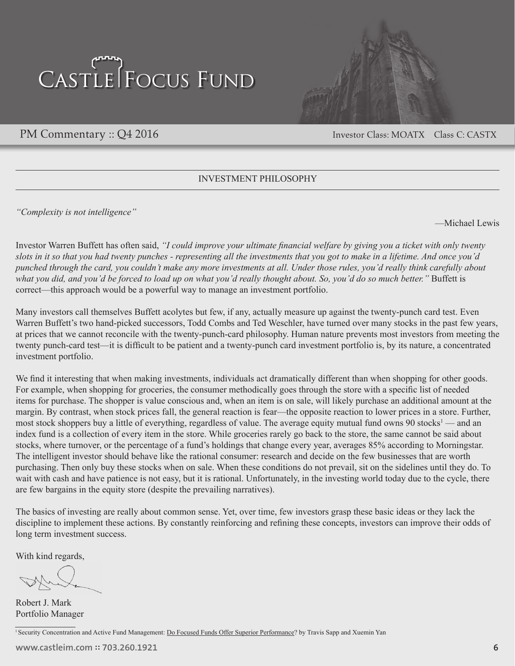

PM Commentary :: Q4 2016 Investor Class: MOATX Class C: CASTX

### INVESTMENT PHILOSOPHY

*"Complexity is not intelligence"*

—Michael Lewis

Investor Warren Buffett has often said, *"I could improve your ultimate financial welfare by giving you a ticket with only twenty slots in it so that you had twenty punches - representing all the investments that you got to make in a lifetime. And once you'd punched through the card, you couldn't make any more investments at all. Under those rules, you'd really think carefully about what you did, and you'd be forced to load up on what you'd really thought about. So, you'd do so much better."* Buffett is correct—this approach would be a powerful way to manage an investment portfolio.

Many investors call themselves Buffett acolytes but few, if any, actually measure up against the twenty-punch card test. Even Warren Buffett's two hand-picked successors, Todd Combs and Ted Weschler, have turned over many stocks in the past few years, at prices that we cannot reconcile with the twenty-punch-card philosophy. Human nature prevents most investors from meeting the twenty punch-card test—it is difficult to be patient and a twenty-punch card investment portfolio is, by its nature, a concentrated investment portfolio.

We find it interesting that when making investments, individuals act dramatically different than when shopping for other goods. For example, when shopping for groceries, the consumer methodically goes through the store with a specific list of needed items for purchase. The shopper is value conscious and, when an item is on sale, will likely purchase an additional amount at the margin. By contrast, when stock prices fall, the general reaction is fear—the opposite reaction to lower prices in a store. Further, most stock shoppers buy a little of everything, regardless of value. The average equity mutual fund owns 90 stocks<sup>1</sup> — and an index fund is a collection of every item in the store. While groceries rarely go back to the store, the same cannot be said about stocks, where turnover, or the percentage of a fund's holdings that change every year, averages 85% according to Morningstar. The intelligent investor should behave like the rational consumer: research and decide on the few businesses that are worth purchasing. Then only buy these stocks when on sale. When these conditions do not prevail, sit on the sidelines until they do. To wait with cash and have patience is not easy, but it is rational. Unfortunately, in the investing world today due to the cycle, there are few bargains in the equity store (despite the prevailing narratives).

The basics of investing are really about common sense. Yet, over time, few investors grasp these basic ideas or they lack the discipline to implement these actions. By constantly reinforcing and refining these concepts, investors can improve their odds of long term investment success.

With kind regards,

Robert J. Mark Portfolio Manager

<sup>1</sup> Security Concentration and Active Fund Management: Do Focused Funds Offer Superior Performance? by Travis Sapp and Xuemin Yan